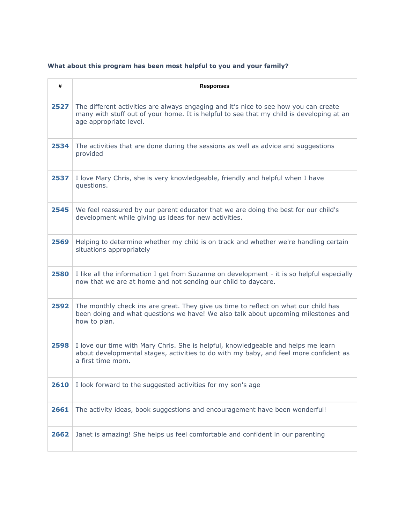## **What about this program has been most helpful to you and your family?**

| #    | <b>Responses</b>                                                                                                                                                                                           |
|------|------------------------------------------------------------------------------------------------------------------------------------------------------------------------------------------------------------|
| 2527 | The different activities are always engaging and it's nice to see how you can create<br>many with stuff out of your home. It is helpful to see that my child is developing at an<br>age appropriate level. |
| 2534 | The activities that are done during the sessions as well as advice and suggestions<br>provided                                                                                                             |
| 2537 | I love Mary Chris, she is very knowledgeable, friendly and helpful when I have<br>questions.                                                                                                               |
| 2545 | We feel reassured by our parent educator that we are doing the best for our child's<br>development while giving us ideas for new activities.                                                               |
| 2569 | Helping to determine whether my child is on track and whether we're handling certain<br>situations appropriately                                                                                           |
| 2580 | I like all the information I get from Suzanne on development - it is so helpful especially<br>now that we are at home and not sending our child to daycare.                                                |
| 2592 | The monthly check ins are great. They give us time to reflect on what our child has<br>been doing and what questions we have! We also talk about upcoming milestones and<br>how to plan.                   |
| 2598 | I love our time with Mary Chris. She is helpful, knowledgeable and helps me learn<br>about developmental stages, activities to do with my baby, and feel more confident as<br>a first time mom.            |
| 2610 | I look forward to the suggested activities for my son's age                                                                                                                                                |
| 2661 | The activity ideas, book suggestions and encouragement have been wonderful!                                                                                                                                |
| 2662 | Janet is amazing! She helps us feel comfortable and confident in our parenting                                                                                                                             |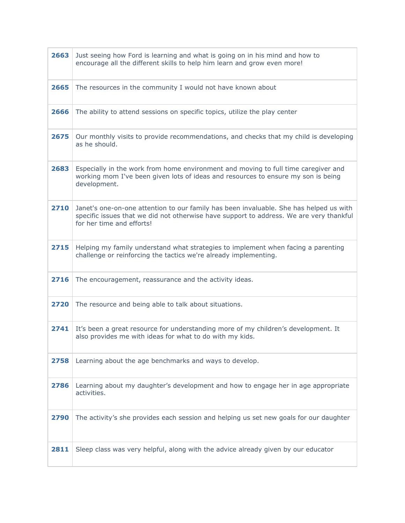| 2663 | Just seeing how Ford is learning and what is going on in his mind and how to<br>encourage all the different skills to help him learn and grow even more!                                                       |
|------|----------------------------------------------------------------------------------------------------------------------------------------------------------------------------------------------------------------|
| 2665 | The resources in the community I would not have known about                                                                                                                                                    |
| 2666 | The ability to attend sessions on specific topics, utilize the play center                                                                                                                                     |
| 2675 | Our monthly visits to provide recommendations, and checks that my child is developing<br>as he should.                                                                                                         |
| 2683 | Especially in the work from home environment and moving to full time caregiver and<br>working mom I've been given lots of ideas and resources to ensure my son is being<br>development.                        |
| 2710 | Janet's one-on-one attention to our family has been invaluable. She has helped us with<br>specific issues that we did not otherwise have support to address. We are very thankful<br>for her time and efforts! |
| 2715 | Helping my family understand what strategies to implement when facing a parenting<br>challenge or reinforcing the tactics we're already implementing.                                                          |
| 2716 | The encouragement, reassurance and the activity ideas.                                                                                                                                                         |
| 2720 | The resource and being able to talk about situations.                                                                                                                                                          |
| 2741 | It's been a great resource for understanding more of my children's development. It<br>also provides me with ideas for what to do with my kids.                                                                 |
| 2758 | Learning about the age benchmarks and ways to develop.                                                                                                                                                         |
| 2786 | Learning about my daughter's development and how to engage her in age appropriate<br>activities.                                                                                                               |
| 2790 | The activity's she provides each session and helping us set new goals for our daughter                                                                                                                         |
| 2811 | Sleep class was very helpful, along with the advice already given by our educator                                                                                                                              |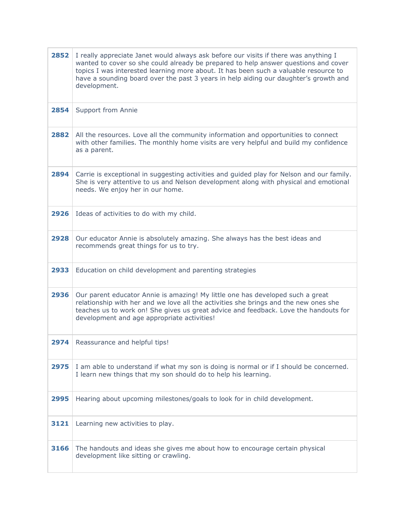| 2852 | I really appreciate Janet would always ask before our visits if there was anything I<br>wanted to cover so she could already be prepared to help answer questions and cover<br>topics I was interested learning more about. It has been such a valuable resource to<br>have a sounding board over the past 3 years in help aiding our daughter's growth and<br>development. |
|------|-----------------------------------------------------------------------------------------------------------------------------------------------------------------------------------------------------------------------------------------------------------------------------------------------------------------------------------------------------------------------------|
| 2854 | Support from Annie                                                                                                                                                                                                                                                                                                                                                          |
| 2882 | All the resources. Love all the community information and opportunities to connect<br>with other families. The monthly home visits are very helpful and build my confidence<br>as a parent.                                                                                                                                                                                 |
| 2894 | Carrie is exceptional in suggesting activities and guided play for Nelson and our family.<br>She is very attentive to us and Nelson development along with physical and emotional<br>needs. We enjoy her in our home.                                                                                                                                                       |
| 2926 | Ideas of activities to do with my child.                                                                                                                                                                                                                                                                                                                                    |
| 2928 | Our educator Annie is absolutely amazing. She always has the best ideas and<br>recommends great things for us to try.                                                                                                                                                                                                                                                       |
| 2933 | Education on child development and parenting strategies                                                                                                                                                                                                                                                                                                                     |
| 2936 | Our parent educator Annie is amazing! My little one has developed such a great<br>relationship with her and we love all the activities she brings and the new ones she<br>teaches us to work on! She gives us great advice and feedback. Love the handouts for<br>development and age appropriate activities!                                                               |
| 2974 | Reassurance and helpful tips!                                                                                                                                                                                                                                                                                                                                               |
| 2975 | I am able to understand if what my son is doing is normal or if I should be concerned.<br>I learn new things that my son should do to help his learning.                                                                                                                                                                                                                    |
| 2995 | Hearing about upcoming milestones/goals to look for in child development.                                                                                                                                                                                                                                                                                                   |
|      |                                                                                                                                                                                                                                                                                                                                                                             |
| 3121 | Learning new activities to play.                                                                                                                                                                                                                                                                                                                                            |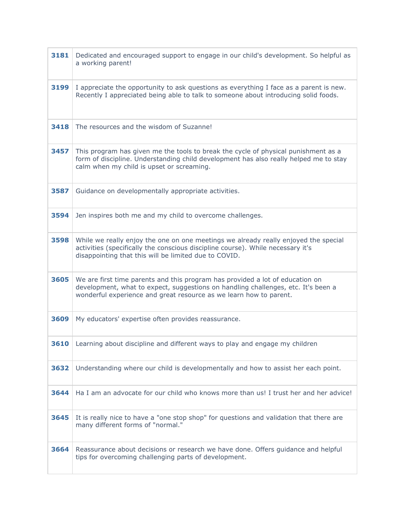| 3181 | Dedicated and encouraged support to engage in our child's development. So helpful as<br>a working parent!                                                                                                                                |
|------|------------------------------------------------------------------------------------------------------------------------------------------------------------------------------------------------------------------------------------------|
| 3199 | I appreciate the opportunity to ask questions as everything I face as a parent is new.<br>Recently I appreciated being able to talk to someone about introducing solid foods.                                                            |
| 3418 | The resources and the wisdom of Suzanne!                                                                                                                                                                                                 |
| 3457 | This program has given me the tools to break the cycle of physical punishment as a<br>form of discipline. Understanding child development has also really helped me to stay<br>calm when my child is upset or screaming.                 |
| 3587 | Guidance on developmentally appropriate activities.                                                                                                                                                                                      |
| 3594 | Jen inspires both me and my child to overcome challenges.                                                                                                                                                                                |
| 3598 | While we really enjoy the one on one meetings we already really enjoyed the special<br>activities (specifically the conscious discipline course). While necessary it's<br>disappointing that this will be limited due to COVID.          |
| 3605 | We are first time parents and this program has provided a lot of education on<br>development, what to expect, suggestions on handling challenges, etc. It's been a<br>wonderful experience and great resource as we learn how to parent. |
| 3609 | My educators' expertise often provides reassurance.                                                                                                                                                                                      |
|      | <b>3610</b> Learning about discipline and different ways to play and engage my children                                                                                                                                                  |
| 3632 | Understanding where our child is developmentally and how to assist her each point.                                                                                                                                                       |
| 3644 | Ha I am an advocate for our child who knows more than us! I trust her and her advice!                                                                                                                                                    |
| 3645 | It is really nice to have a "one stop shop" for questions and validation that there are<br>many different forms of "normal."                                                                                                             |
| 3664 | Reassurance about decisions or research we have done. Offers guidance and helpful<br>tips for overcoming challenging parts of development.                                                                                               |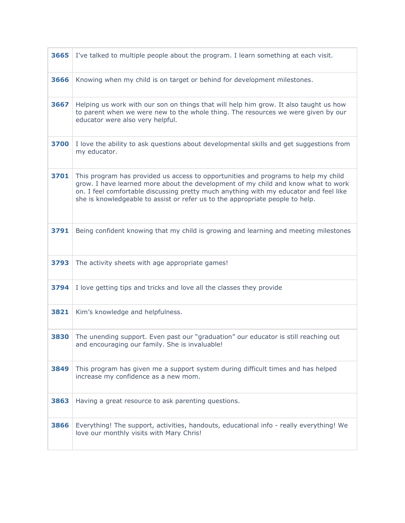| 3665 | I've talked to multiple people about the program. I learn something at each visit.                                                                                                                                                                                                                                                                |
|------|---------------------------------------------------------------------------------------------------------------------------------------------------------------------------------------------------------------------------------------------------------------------------------------------------------------------------------------------------|
| 3666 | Knowing when my child is on target or behind for development milestones.                                                                                                                                                                                                                                                                          |
| 3667 | Helping us work with our son on things that will help him grow. It also taught us how<br>to parent when we were new to the whole thing. The resources we were given by our<br>educator were also very helpful.                                                                                                                                    |
| 3700 | I love the ability to ask questions about developmental skills and get suggestions from<br>my educator.                                                                                                                                                                                                                                           |
| 3701 | This program has provided us access to opportunities and programs to help my child<br>grow. I have learned more about the development of my child and know what to work<br>on. I feel comfortable discussing pretty much anything with my educator and feel like<br>she is knowledgeable to assist or refer us to the appropriate people to help. |
| 3791 | Being confident knowing that my child is growing and learning and meeting milestones                                                                                                                                                                                                                                                              |
| 3793 | The activity sheets with age appropriate games!                                                                                                                                                                                                                                                                                                   |
| 3794 | I love getting tips and tricks and love all the classes they provide                                                                                                                                                                                                                                                                              |
| 3821 | Kim's knowledge and helpfulness.                                                                                                                                                                                                                                                                                                                  |
| 3830 | The unending support. Even past our "graduation" our educator is still reaching out<br>and encouraging our family. She is invaluable!                                                                                                                                                                                                             |
| 3849 | This program has given me a support system during difficult times and has helped<br>increase my confidence as a new mom.                                                                                                                                                                                                                          |
| 3863 | Having a great resource to ask parenting questions.                                                                                                                                                                                                                                                                                               |
| 3866 | Everything! The support, activities, handouts, educational info - really everything! We<br>love our monthly visits with Mary Chris!                                                                                                                                                                                                               |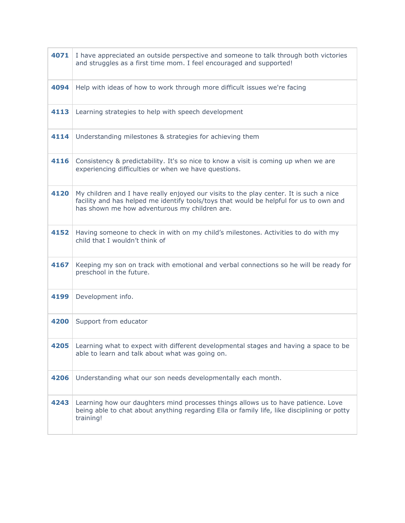| 4071 | I have appreciated an outside perspective and someone to talk through both victories<br>and struggles as a first time mom. I feel encouraged and supported!                                                                       |
|------|-----------------------------------------------------------------------------------------------------------------------------------------------------------------------------------------------------------------------------------|
| 4094 | Help with ideas of how to work through more difficult issues we're facing                                                                                                                                                         |
| 4113 | Learning strategies to help with speech development                                                                                                                                                                               |
| 4114 | Understanding milestones & strategies for achieving them                                                                                                                                                                          |
| 4116 | Consistency & predictability. It's so nice to know a visit is coming up when we are<br>experiencing difficulties or when we have questions.                                                                                       |
| 4120 | My children and I have really enjoyed our visits to the play center. It is such a nice<br>facility and has helped me identify tools/toys that would be helpful for us to own and<br>has shown me how adventurous my children are. |
| 4152 | Having someone to check in with on my child's milestones. Activities to do with my<br>child that I wouldn't think of                                                                                                              |
| 4167 | Keeping my son on track with emotional and verbal connections so he will be ready for<br>preschool in the future.                                                                                                                 |
| 4199 | Development info.                                                                                                                                                                                                                 |
| 4200 | Support from educator                                                                                                                                                                                                             |
| 4205 | Learning what to expect with different developmental stages and having a space to be<br>able to learn and talk about what was going on.                                                                                           |
| 4206 | Understanding what our son needs developmentally each month.                                                                                                                                                                      |
| 4243 | Learning how our daughters mind processes things allows us to have patience. Love<br>being able to chat about anything regarding Ella or family life, like disciplining or potty<br>training!                                     |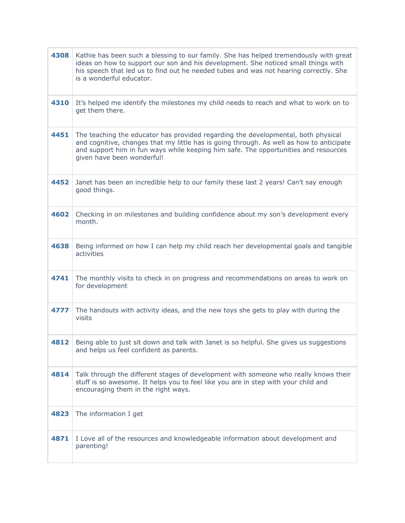| 4308 | Kathie has been such a blessing to our family. She has helped tremendously with great<br>ideas on how to support our son and his development. She noticed small things with<br>his speech that led us to find out he needed tubes and was not hearing correctly. She<br>is a wonderful educator.   |
|------|----------------------------------------------------------------------------------------------------------------------------------------------------------------------------------------------------------------------------------------------------------------------------------------------------|
| 4310 | It's helped me identify the milestones my child needs to reach and what to work on to<br>get them there.                                                                                                                                                                                           |
| 4451 | The teaching the educator has provided regarding the developmental, both physical<br>and cognitive, changes that my little has is going through. As well as how to anticipate<br>and support him in fun ways while keeping him safe. The opportunities and resources<br>given have been wonderful! |
| 4452 | Janet has been an incredible help to our family these last 2 years! Can't say enough<br>good things.                                                                                                                                                                                               |
| 4602 | Checking in on milestones and building confidence about my son's development every<br>month.                                                                                                                                                                                                       |
| 4638 | Being informed on how I can help my child reach her developmental goals and tangible<br>activities                                                                                                                                                                                                 |
| 4741 | The monthly visits to check in on progress and recommendations on areas to work on<br>for development                                                                                                                                                                                              |
| 4777 | The handouts with activity ideas, and the new toys she gets to play with during the<br>visits                                                                                                                                                                                                      |
| 4812 | Being able to just sit down and talk with Janet is so helpful. She gives us suggestions<br>and helps us feel confident as parents.                                                                                                                                                                 |
| 4814 | Talk through the different stages of development with someone who really knows their<br>stuff is so awesome. It helps you to feel like you are in step with your child and<br>encouraging them in the right ways.                                                                                  |
| 4823 | The information I get                                                                                                                                                                                                                                                                              |
| 4871 | I Love all of the resources and knowledgeable information about development and<br>parenting!                                                                                                                                                                                                      |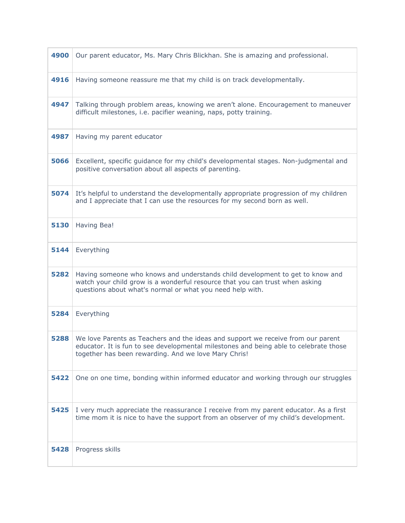| 4900 | Our parent educator, Ms. Mary Chris Blickhan. She is amazing and professional.                                                                                                                                                    |
|------|-----------------------------------------------------------------------------------------------------------------------------------------------------------------------------------------------------------------------------------|
| 4916 | Having someone reassure me that my child is on track developmentally.                                                                                                                                                             |
| 4947 | Talking through problem areas, knowing we aren't alone. Encouragement to maneuver<br>difficult milestones, i.e. pacifier weaning, naps, potty training.                                                                           |
| 4987 | Having my parent educator                                                                                                                                                                                                         |
| 5066 | Excellent, specific guidance for my child's developmental stages. Non-judgmental and<br>positive conversation about all aspects of parenting.                                                                                     |
| 5074 | It's helpful to understand the developmentally appropriate progression of my children<br>and I appreciate that I can use the resources for my second born as well.                                                                |
| 5130 | Having Bea!                                                                                                                                                                                                                       |
| 5144 | Everything                                                                                                                                                                                                                        |
| 5282 | Having someone who knows and understands child development to get to know and<br>watch your child grow is a wonderful resource that you can trust when asking<br>questions about what's normal or what you need help with.        |
| 5284 | Everything                                                                                                                                                                                                                        |
| 5288 | We love Parents as Teachers and the ideas and support we receive from our parent<br>educator. It is fun to see developmental milestones and being able to celebrate those<br>together has been rewarding. And we love Mary Chris! |
| 5422 | One on one time, bonding within informed educator and working through our struggles                                                                                                                                               |
| 5425 | I very much appreciate the reassurance I receive from my parent educator. As a first<br>time mom it is nice to have the support from an observer of my child's development.                                                       |
| 5428 | Progress skills                                                                                                                                                                                                                   |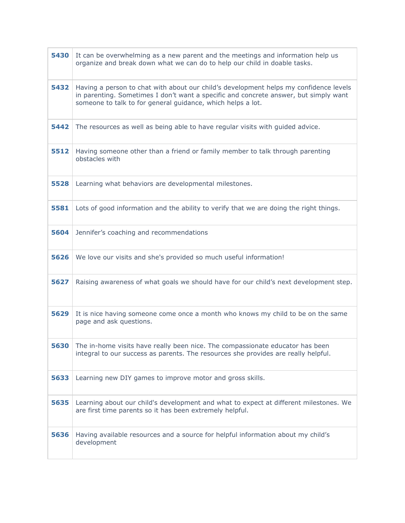| 5430 | It can be overwhelming as a new parent and the meetings and information help us<br>organize and break down what we can do to help our child in doable tasks.                                                                                 |
|------|----------------------------------------------------------------------------------------------------------------------------------------------------------------------------------------------------------------------------------------------|
| 5432 | Having a person to chat with about our child's development helps my confidence levels<br>in parenting. Sometimes I don't want a specific and concrete answer, but simply want<br>someone to talk to for general guidance, which helps a lot. |
| 5442 | The resources as well as being able to have regular visits with guided advice.                                                                                                                                                               |
| 5512 | Having someone other than a friend or family member to talk through parenting<br>obstacles with                                                                                                                                              |
| 5528 | Learning what behaviors are developmental milestones.                                                                                                                                                                                        |
| 5581 | Lots of good information and the ability to verify that we are doing the right things.                                                                                                                                                       |
| 5604 | Jennifer's coaching and recommendations                                                                                                                                                                                                      |
| 5626 | We love our visits and she's provided so much useful information!                                                                                                                                                                            |
| 5627 | Raising awareness of what goals we should have for our child's next development step.                                                                                                                                                        |
| 5629 | It is nice having someone come once a month who knows my child to be on the same<br>page and ask questions.                                                                                                                                  |
| 5630 | The in-home visits have really been nice. The compassionate educator has been<br>integral to our success as parents. The resources she provides are really helpful.                                                                          |
| 5633 | Learning new DIY games to improve motor and gross skills.                                                                                                                                                                                    |
| 5635 | Learning about our child's development and what to expect at different milestones. We<br>are first time parents so it has been extremely helpful.                                                                                            |
| 5636 | Having available resources and a source for helpful information about my child's<br>development                                                                                                                                              |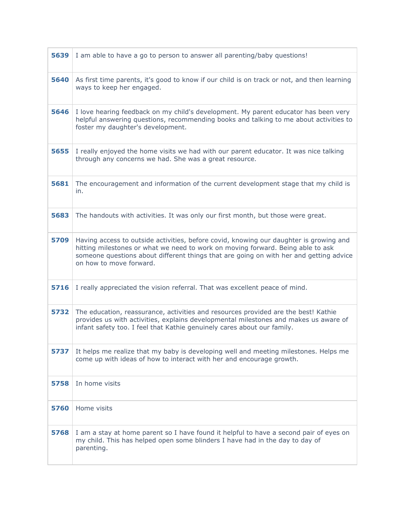| 5639 | I am able to have a go to person to answer all parenting/baby questions!                                                                                                                                                                                                                       |
|------|------------------------------------------------------------------------------------------------------------------------------------------------------------------------------------------------------------------------------------------------------------------------------------------------|
| 5640 | As first time parents, it's good to know if our child is on track or not, and then learning<br>ways to keep her engaged.                                                                                                                                                                       |
| 5646 | I love hearing feedback on my child's development. My parent educator has been very<br>helpful answering questions, recommending books and talking to me about activities to<br>foster my daughter's development.                                                                              |
| 5655 | I really enjoyed the home visits we had with our parent educator. It was nice talking<br>through any concerns we had. She was a great resource.                                                                                                                                                |
| 5681 | The encouragement and information of the current development stage that my child is<br>in.                                                                                                                                                                                                     |
| 5683 | The handouts with activities. It was only our first month, but those were great.                                                                                                                                                                                                               |
| 5709 | Having access to outside activities, before covid, knowing our daughter is growing and<br>hitting milestones or what we need to work on moving forward. Being able to ask<br>someone questions about different things that are going on with her and getting advice<br>on how to move forward. |
| 5716 | I really appreciated the vision referral. That was excellent peace of mind.                                                                                                                                                                                                                    |
| 5732 | The education, reassurance, activities and resources provided are the best! Kathie<br>provides us with activities, explains developmental milestones and makes us aware of<br>infant safety too. I feel that Kathie genuinely cares about our family.                                          |
| 5737 | It helps me realize that my baby is developing well and meeting milestones. Helps me<br>come up with ideas of how to interact with her and encourage growth.                                                                                                                                   |
| 5758 | In home visits                                                                                                                                                                                                                                                                                 |
| 5760 | Home visits                                                                                                                                                                                                                                                                                    |
| 5768 | I am a stay at home parent so I have found it helpful to have a second pair of eyes on<br>my child. This has helped open some blinders I have had in the day to day of<br>parenting.                                                                                                           |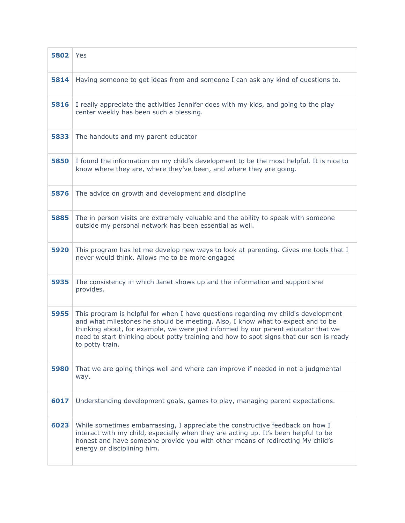| 5802 | Yes                                                                                                                                                                                                                                                                                                                                                                      |
|------|--------------------------------------------------------------------------------------------------------------------------------------------------------------------------------------------------------------------------------------------------------------------------------------------------------------------------------------------------------------------------|
| 5814 | Having someone to get ideas from and someone I can ask any kind of questions to.                                                                                                                                                                                                                                                                                         |
| 5816 | I really appreciate the activities Jennifer does with my kids, and going to the play<br>center weekly has been such a blessing.                                                                                                                                                                                                                                          |
| 5833 | The handouts and my parent educator                                                                                                                                                                                                                                                                                                                                      |
| 5850 | I found the information on my child's development to be the most helpful. It is nice to<br>know where they are, where they've been, and where they are going.                                                                                                                                                                                                            |
| 5876 | The advice on growth and development and discipline                                                                                                                                                                                                                                                                                                                      |
| 5885 | The in person visits are extremely valuable and the ability to speak with someone<br>outside my personal network has been essential as well.                                                                                                                                                                                                                             |
| 5920 | This program has let me develop new ways to look at parenting. Gives me tools that I<br>never would think. Allows me to be more engaged                                                                                                                                                                                                                                  |
| 5935 | The consistency in which Janet shows up and the information and support she<br>provides.                                                                                                                                                                                                                                                                                 |
| 5955 | This program is helpful for when I have questions regarding my child's development<br>and what milestones he should be meeting. Also, I know what to expect and to be<br>thinking about, for example, we were just informed by our parent educator that we<br>need to start thinking about potty training and how to spot signs that our son is ready<br>to potty train. |
| 5980 | That we are going things well and where can improve if needed in not a judgmental<br>way.                                                                                                                                                                                                                                                                                |
| 6017 | Understanding development goals, games to play, managing parent expectations.                                                                                                                                                                                                                                                                                            |
| 6023 | While sometimes embarrassing, I appreciate the constructive feedback on how I<br>interact with my child, especially when they are acting up. It's been helpful to be<br>honest and have someone provide you with other means of redirecting My child's<br>energy or disciplining him.                                                                                    |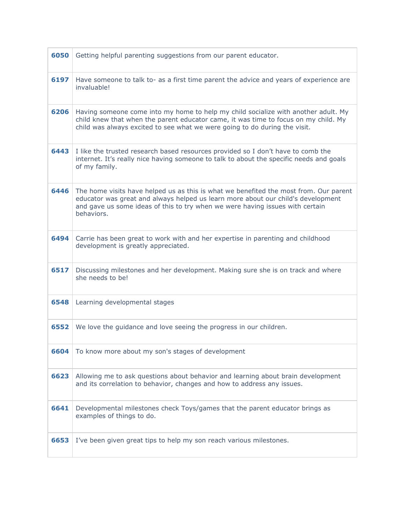| 6050 | Getting helpful parenting suggestions from our parent educator.                                                                                                                                                                                                          |
|------|--------------------------------------------------------------------------------------------------------------------------------------------------------------------------------------------------------------------------------------------------------------------------|
| 6197 | Have someone to talk to- as a first time parent the advice and years of experience are<br>invaluable!                                                                                                                                                                    |
| 6206 | Having someone come into my home to help my child socialize with another adult. My<br>child knew that when the parent educator came, it was time to focus on my child. My<br>child was always excited to see what we were going to do during the visit.                  |
| 6443 | I like the trusted research based resources provided so I don't have to comb the<br>internet. It's really nice having someone to talk to about the specific needs and goals<br>of my family.                                                                             |
| 6446 | The home visits have helped us as this is what we benefited the most from. Our parent<br>educator was great and always helped us learn more about our child's development<br>and gave us some ideas of this to try when we were having issues with certain<br>behaviors. |
| 6494 | Carrie has been great to work with and her expertise in parenting and childhood<br>development is greatly appreciated.                                                                                                                                                   |
| 6517 | Discussing milestones and her development. Making sure she is on track and where<br>she needs to be!                                                                                                                                                                     |
| 6548 | Learning developmental stages                                                                                                                                                                                                                                            |
| 6552 | We love the guidance and love seeing the progress in our children.                                                                                                                                                                                                       |
| 6604 | To know more about my son's stages of development                                                                                                                                                                                                                        |
| 6623 | Allowing me to ask questions about behavior and learning about brain development<br>and its correlation to behavior, changes and how to address any issues.                                                                                                              |
| 6641 | Developmental milestones check Toys/games that the parent educator brings as<br>examples of things to do.                                                                                                                                                                |
| 6653 | I've been given great tips to help my son reach various milestones.                                                                                                                                                                                                      |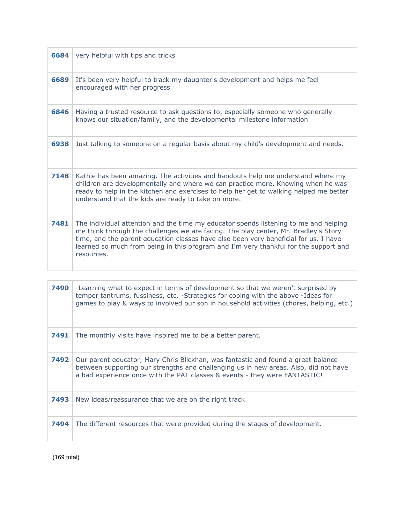| 6684 | very helpful with tips and tricks                                                                                                                                                                                                                                                                                                                                         |
|------|---------------------------------------------------------------------------------------------------------------------------------------------------------------------------------------------------------------------------------------------------------------------------------------------------------------------------------------------------------------------------|
| 6689 | It's been very helpful to track my daughter's development and helps me feel<br>encouraged with her progress                                                                                                                                                                                                                                                               |
| 6846 | Having a trusted resource to ask questions to, especially someone who generally<br>knows our situation/family, and the developmental milestone information                                                                                                                                                                                                                |
| 6938 | Just talking to someone on a regular basis about my child's development and needs.                                                                                                                                                                                                                                                                                        |
| 7148 | Kathie has been amazing. The activities and handouts help me understand where my<br>children are developmentally and where we can practice more. Knowing when he was<br>ready to help in the kitchen and exercises to help her get to walking helped me better<br>understand that the kids are ready to take on more.                                                     |
| 7481 | The individual attention and the time my educator spends listening to me and helping<br>me think through the challenges we are facing. The play center, Mr. Bradley's Story<br>time, and the parent education classes have also been very beneficial for us. I have<br>learned so much from being in this program and I'm very thankful for the support and<br>resources. |

| 7490 | -Learning what to expect in terms of development so that we weren't surprised by<br>temper tantrums, fussiness, etc. -Strategies for coping with the above -Ideas for<br>games to play & ways to involved our son in household activities (chores, helping, etc.) |
|------|-------------------------------------------------------------------------------------------------------------------------------------------------------------------------------------------------------------------------------------------------------------------|
| 7491 | The monthly visits have inspired me to be a better parent.                                                                                                                                                                                                        |
| 7492 | Our parent educator, Mary Chris Blickhan, was fantastic and found a great balance<br>between supporting our strengths and challenging us in new areas. Also, did not have<br>a bad experience once with the PAT classes & events - they were FANTASTIC!           |
| 7493 | New ideas/reassurance that we are on the right track                                                                                                                                                                                                              |
| 7494 | The different resources that were provided during the stages of development.                                                                                                                                                                                      |

(169 total)

 $\Gamma$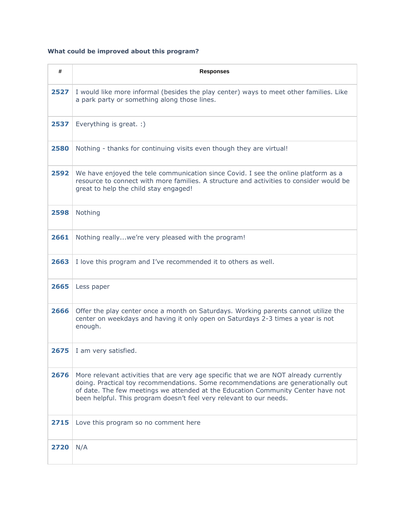## **What could be improved about this program?**

| #    | <b>Responses</b>                                                                                                                                                                                                                                                                                                                      |
|------|---------------------------------------------------------------------------------------------------------------------------------------------------------------------------------------------------------------------------------------------------------------------------------------------------------------------------------------|
| 2527 | I would like more informal (besides the play center) ways to meet other families. Like<br>a park party or something along those lines.                                                                                                                                                                                                |
| 2537 | Everything is great. :)                                                                                                                                                                                                                                                                                                               |
| 2580 | Nothing - thanks for continuing visits even though they are virtual!                                                                                                                                                                                                                                                                  |
| 2592 | We have enjoyed the tele communication since Covid. I see the online platform as a<br>resource to connect with more families. A structure and activities to consider would be<br>great to help the child stay engaged!                                                                                                                |
| 2598 | Nothing                                                                                                                                                                                                                                                                                                                               |
| 2661 | Nothing reallywe're very pleased with the program!                                                                                                                                                                                                                                                                                    |
| 2663 | I love this program and I've recommended it to others as well.                                                                                                                                                                                                                                                                        |
| 2665 | Less paper                                                                                                                                                                                                                                                                                                                            |
| 2666 | Offer the play center once a month on Saturdays. Working parents cannot utilize the<br>center on weekdays and having it only open on Saturdays 2-3 times a year is not<br>enough.                                                                                                                                                     |
| 2675 | I am very satisfied.                                                                                                                                                                                                                                                                                                                  |
| 2676 | More relevant activities that are very age specific that we are NOT already currently<br>doing. Practical toy recommendations. Some recommendations are generationally out<br>of date. The few meetings we attended at the Education Community Center have not<br>been helpful. This program doesn't feel very relevant to our needs. |
| 2715 | Love this program so no comment here                                                                                                                                                                                                                                                                                                  |
| 2720 | N/A                                                                                                                                                                                                                                                                                                                                   |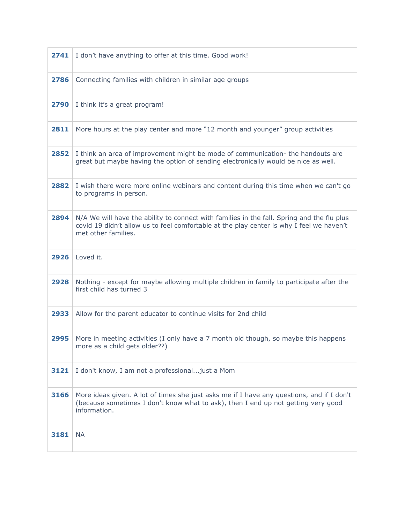| 2741 | I don't have anything to offer at this time. Good work!                                                                                                                                                       |
|------|---------------------------------------------------------------------------------------------------------------------------------------------------------------------------------------------------------------|
| 2786 | Connecting families with children in similar age groups                                                                                                                                                       |
| 2790 | I think it's a great program!                                                                                                                                                                                 |
| 2811 | More hours at the play center and more "12 month and younger" group activities                                                                                                                                |
| 2852 | I think an area of improvement might be mode of communication- the handouts are<br>great but maybe having the option of sending electronically would be nice as well.                                         |
| 2882 | I wish there were more online webinars and content during this time when we can't go<br>to programs in person.                                                                                                |
| 2894 | N/A We will have the ability to connect with families in the fall. Spring and the flu plus<br>covid 19 didn't allow us to feel comfortable at the play center is why I feel we haven't<br>met other families. |
| 2926 | Loved it.                                                                                                                                                                                                     |
| 2928 | Nothing - except for maybe allowing multiple children in family to participate after the<br>first child has turned 3                                                                                          |
| 2933 | Allow for the parent educator to continue visits for 2nd child                                                                                                                                                |
| 2995 | More in meeting activities (I only have a 7 month old though, so maybe this happens<br>more as a child gets older??)                                                                                          |
| 3121 | I don't know, I am not a professional just a Mom                                                                                                                                                              |
| 3166 | More ideas given. A lot of times she just asks me if I have any questions, and if I don't<br>(because sometimes I don't know what to ask), then I end up not getting very good<br>information.                |
|      |                                                                                                                                                                                                               |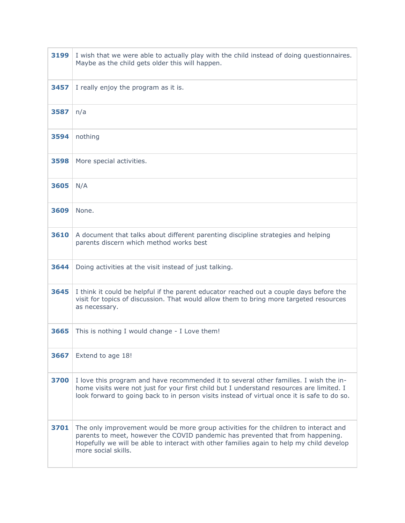| 3199 | I wish that we were able to actually play with the child instead of doing questionnaires.<br>Maybe as the child gets older this will happen.                                                                                                                                              |
|------|-------------------------------------------------------------------------------------------------------------------------------------------------------------------------------------------------------------------------------------------------------------------------------------------|
| 3457 | I really enjoy the program as it is.                                                                                                                                                                                                                                                      |
| 3587 | n/a                                                                                                                                                                                                                                                                                       |
| 3594 | nothing                                                                                                                                                                                                                                                                                   |
| 3598 | More special activities.                                                                                                                                                                                                                                                                  |
| 3605 | N/A                                                                                                                                                                                                                                                                                       |
| 3609 | None.                                                                                                                                                                                                                                                                                     |
| 3610 | A document that talks about different parenting discipline strategies and helping<br>parents discern which method works best                                                                                                                                                              |
| 3644 | Doing activities at the visit instead of just talking.                                                                                                                                                                                                                                    |
| 3645 | I think it could be helpful if the parent educator reached out a couple days before the<br>visit for topics of discussion. That would allow them to bring more targeted resources<br>as necessary.                                                                                        |
| 3665 | This is nothing I would change - I Love them!                                                                                                                                                                                                                                             |
| 3667 | Extend to age 18!                                                                                                                                                                                                                                                                         |
| 3700 | I love this program and have recommended it to several other families. I wish the in-<br>home visits were not just for your first child but I understand resources are limited. I<br>look forward to going back to in person visits instead of virtual once it is safe to do so.          |
| 3701 | The only improvement would be more group activities for the children to interact and<br>parents to meet, however the COVID pandemic has prevented that from happening.<br>Hopefully we will be able to interact with other families again to help my child develop<br>more social skills. |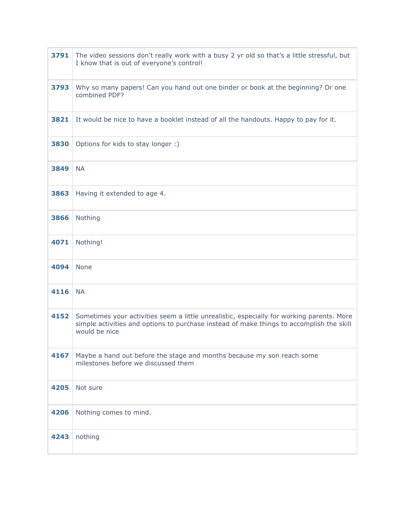| 3791 | The video sessions don't really work with a busy 2 yr old so that's a little stressful, but<br>I know that is out of everyone's control!                                                               |
|------|--------------------------------------------------------------------------------------------------------------------------------------------------------------------------------------------------------|
| 3793 | Why so many papers! Can you hand out one binder or book at the beginning? Or one<br>combined PDF?                                                                                                      |
| 3821 | It would be nice to have a booklet instead of all the handouts. Happy to pay for it.                                                                                                                   |
| 3830 | Options for kids to stay longer :)                                                                                                                                                                     |
| 3849 | <b>NA</b>                                                                                                                                                                                              |
| 3863 | Having it extended to age 4.                                                                                                                                                                           |
| 3866 | Nothing                                                                                                                                                                                                |
| 4071 | Nothing!                                                                                                                                                                                               |
| 4094 | <b>None</b>                                                                                                                                                                                            |
| 4116 | <b>NA</b>                                                                                                                                                                                              |
| 4152 | Sometimes your activities seem a little unrealistic, especially for working parents. More<br>simple activities and options to purchase instead of make things to accomplish the skill<br>would be nice |
| 4167 | Maybe a hand out before the stage and months because my son reach some<br>milestones before we discussed them                                                                                          |
| 4205 | Not sure                                                                                                                                                                                               |
| 4206 | Nothing comes to mind.                                                                                                                                                                                 |
| 4243 | nothing                                                                                                                                                                                                |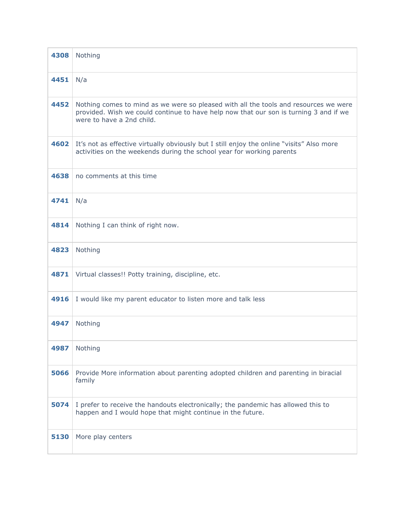| 4308 | Nothing                                                                                                                                                                                                    |
|------|------------------------------------------------------------------------------------------------------------------------------------------------------------------------------------------------------------|
| 4451 | N/a                                                                                                                                                                                                        |
| 4452 | Nothing comes to mind as we were so pleased with all the tools and resources we were<br>provided. Wish we could continue to have help now that our son is turning 3 and if we<br>were to have a 2nd child. |
| 4602 | It's not as effective virtually obviously but I still enjoy the online "visits" Also more<br>activities on the weekends during the school year for working parents                                         |
| 4638 | no comments at this time                                                                                                                                                                                   |
| 4741 | N/a                                                                                                                                                                                                        |
| 4814 | Nothing I can think of right now.                                                                                                                                                                          |
| 4823 | Nothing                                                                                                                                                                                                    |
| 4871 | Virtual classes!! Potty training, discipline, etc.                                                                                                                                                         |
| 4916 | I would like my parent educator to listen more and talk less                                                                                                                                               |
| 4947 | Nothing                                                                                                                                                                                                    |
| 4987 | Nothing                                                                                                                                                                                                    |
| 5066 | Provide More information about parenting adopted children and parenting in biracial<br>family                                                                                                              |
| 5074 | I prefer to receive the handouts electronically; the pandemic has allowed this to<br>happen and I would hope that might continue in the future.                                                            |
| 5130 | More play centers                                                                                                                                                                                          |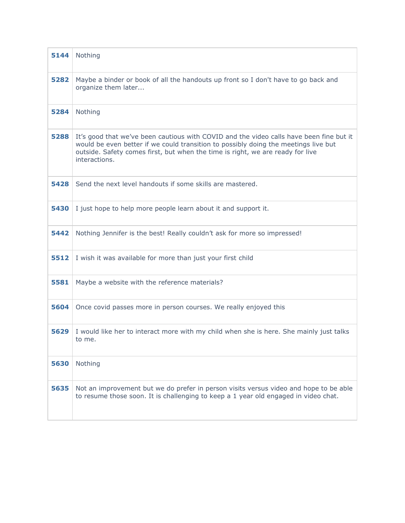| 5144 | Nothing                                                                                                                                                                                                                                                                           |
|------|-----------------------------------------------------------------------------------------------------------------------------------------------------------------------------------------------------------------------------------------------------------------------------------|
| 5282 | Maybe a binder or book of all the handouts up front so I don't have to go back and<br>organize them later                                                                                                                                                                         |
| 5284 | Nothing                                                                                                                                                                                                                                                                           |
| 5288 | It's good that we've been cautious with COVID and the video calls have been fine but it<br>would be even better if we could transition to possibly doing the meetings live but<br>outside. Safety comes first, but when the time is right, we are ready for live<br>interactions. |
| 5428 | Send the next level handouts if some skills are mastered.                                                                                                                                                                                                                         |
| 5430 | I just hope to help more people learn about it and support it.                                                                                                                                                                                                                    |
| 5442 | Nothing Jennifer is the best! Really couldn't ask for more so impressed!                                                                                                                                                                                                          |
| 5512 | I wish it was available for more than just your first child                                                                                                                                                                                                                       |
| 5581 | Maybe a website with the reference materials?                                                                                                                                                                                                                                     |
| 5604 | Once covid passes more in person courses. We really enjoyed this                                                                                                                                                                                                                  |
| 5629 | I would like her to interact more with my child when she is here. She mainly just talks<br>to me.                                                                                                                                                                                 |
| 5630 | Nothing                                                                                                                                                                                                                                                                           |
| 5635 | Not an improvement but we do prefer in person visits versus video and hope to be able<br>to resume those soon. It is challenging to keep a 1 year old engaged in video chat.                                                                                                      |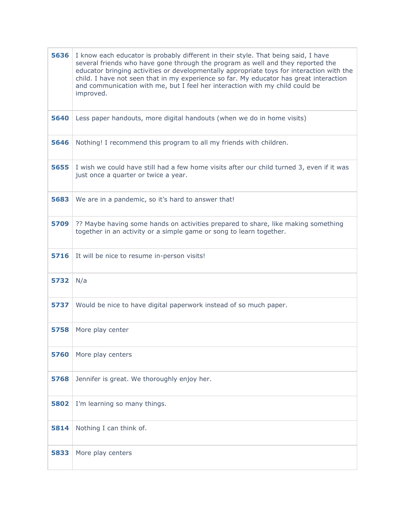| 5636 | I know each educator is probably different in their style. That being said, I have<br>several friends who have gone through the program as well and they reported the<br>educator bringing activities or developmentally appropriate toys for interaction with the<br>child. I have not seen that in my experience so far. My educator has great interaction<br>and communication with me, but I feel her interaction with my child could be<br>improved. |
|------|-----------------------------------------------------------------------------------------------------------------------------------------------------------------------------------------------------------------------------------------------------------------------------------------------------------------------------------------------------------------------------------------------------------------------------------------------------------|
| 5640 | Less paper handouts, more digital handouts (when we do in home visits)                                                                                                                                                                                                                                                                                                                                                                                    |
| 5646 | Nothing! I recommend this program to all my friends with children.                                                                                                                                                                                                                                                                                                                                                                                        |
| 5655 | I wish we could have still had a few home visits after our child turned 3, even if it was<br>just once a quarter or twice a year.                                                                                                                                                                                                                                                                                                                         |
| 5683 | We are in a pandemic, so it's hard to answer that!                                                                                                                                                                                                                                                                                                                                                                                                        |
| 5709 | ?? Maybe having some hands on activities prepared to share, like making something<br>together in an activity or a simple game or song to learn together.                                                                                                                                                                                                                                                                                                  |
| 5716 | It will be nice to resume in-person visits!                                                                                                                                                                                                                                                                                                                                                                                                               |
| 5732 | N/a                                                                                                                                                                                                                                                                                                                                                                                                                                                       |
| 5737 | Would be nice to have digital paperwork instead of so much paper.                                                                                                                                                                                                                                                                                                                                                                                         |
| 5758 | More play center                                                                                                                                                                                                                                                                                                                                                                                                                                          |
| 5760 | More play centers                                                                                                                                                                                                                                                                                                                                                                                                                                         |
| 5768 | Jennifer is great. We thoroughly enjoy her.                                                                                                                                                                                                                                                                                                                                                                                                               |
| 5802 | I'm learning so many things.                                                                                                                                                                                                                                                                                                                                                                                                                              |
| 5814 | Nothing I can think of.                                                                                                                                                                                                                                                                                                                                                                                                                                   |
| 5833 | More play centers                                                                                                                                                                                                                                                                                                                                                                                                                                         |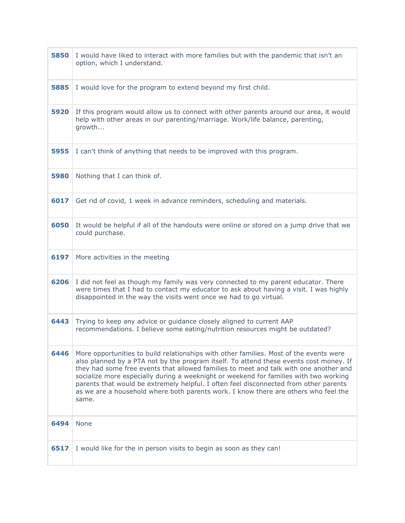| 5850 | I would have liked to interact with more families but with the pandemic that isn't an<br>option, which I understand.                                                                                                                                                                                                                                                                                                                                                                                                                                        |
|------|-------------------------------------------------------------------------------------------------------------------------------------------------------------------------------------------------------------------------------------------------------------------------------------------------------------------------------------------------------------------------------------------------------------------------------------------------------------------------------------------------------------------------------------------------------------|
| 5885 | I would love for the program to extend beyond my first child.                                                                                                                                                                                                                                                                                                                                                                                                                                                                                               |
| 5920 | If this program would allow us to connect with other parents around our area, it would<br>help with other areas in our parenting/marriage. Work/life balance, parenting,<br>growth                                                                                                                                                                                                                                                                                                                                                                          |
| 5955 | I can't think of anything that needs to be improved with this program.                                                                                                                                                                                                                                                                                                                                                                                                                                                                                      |
| 5980 | Nothing that I can think of.                                                                                                                                                                                                                                                                                                                                                                                                                                                                                                                                |
| 6017 | Get rid of covid, 1 week in advance reminders, scheduling and materials.                                                                                                                                                                                                                                                                                                                                                                                                                                                                                    |
| 6050 | It would be helpful if all of the handouts were online or stored on a jump drive that we<br>could purchase.                                                                                                                                                                                                                                                                                                                                                                                                                                                 |
| 6197 | More activities in the meeting                                                                                                                                                                                                                                                                                                                                                                                                                                                                                                                              |
| 6206 | I did not feel as though my family was very connected to my parent educator. There<br>were times that I had to contact my educator to ask about having a visit. I was highly<br>disappointed in the way the visits went once we had to go virtual.                                                                                                                                                                                                                                                                                                          |
| 6443 | Trying to keep any advice or guidance closely aligned to current AAP<br>recommendations. I believe some eating/nutrition resources might be outdated?                                                                                                                                                                                                                                                                                                                                                                                                       |
| 6446 | More opportunities to build relationships with other families. Most of the events were<br>also planned by a PTA not by the program itself. To attend these events cost money. If<br>they had some free events that allowed families to meet and talk with one another and<br>socialize more especially during a weeknight or weekend for families with two working<br>parents that would be extremely helpful. I often feel disconnected from other parents<br>as we are a household where both parents work. I know there are others who feel the<br>same. |
| 6494 | None                                                                                                                                                                                                                                                                                                                                                                                                                                                                                                                                                        |
| 6517 | I would like for the in person visits to begin as soon as they can!                                                                                                                                                                                                                                                                                                                                                                                                                                                                                         |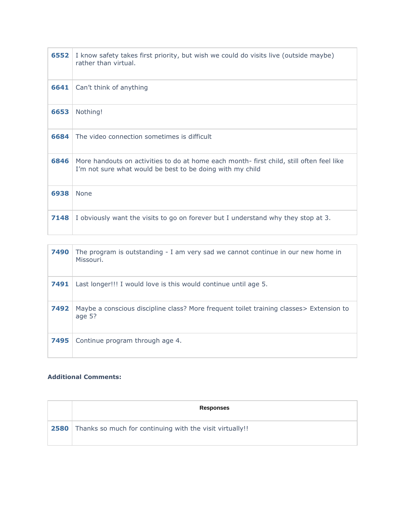| 6552 | I know safety takes first priority, but wish we could do visits live (outside maybe)<br>rather than virtual.                                         |
|------|------------------------------------------------------------------------------------------------------------------------------------------------------|
| 6641 | Can't think of anything                                                                                                                              |
| 6653 | Nothing!                                                                                                                                             |
| 6684 | The video connection sometimes is difficult                                                                                                          |
| 6846 | More handouts on activities to do at home each month-first child, still often feel like<br>I'm not sure what would be best to be doing with my child |
| 6938 | <b>None</b>                                                                                                                                          |
| 7148 | I obviously want the visits to go on forever but I understand why they stop at 3.                                                                    |

| 7490 | The program is outstanding - I am very sad we cannot continue in our new home in<br>Missouri.        |
|------|------------------------------------------------------------------------------------------------------|
| 7491 | Last longer!!! I would love is this would continue until age 5.                                      |
| 7492 | Maybe a conscious discipline class? More frequent toilet training classes > Extension to<br>age $5?$ |
| 7495 | Continue program through age 4.                                                                      |

## **Additional Comments:**

| <b>Responses</b>                                                     |
|----------------------------------------------------------------------|
| <b>2580</b> Thanks so much for continuing with the visit virtually!! |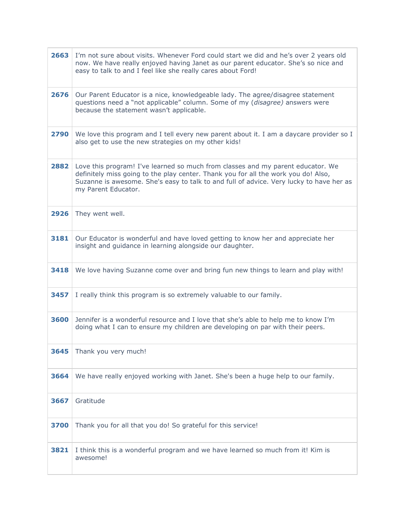| 2663 | I'm not sure about visits. Whenever Ford could start we did and he's over 2 years old<br>now. We have really enjoyed having Janet as our parent educator. She's so nice and<br>easy to talk to and I feel like she really cares about Ford!                                             |
|------|-----------------------------------------------------------------------------------------------------------------------------------------------------------------------------------------------------------------------------------------------------------------------------------------|
| 2676 | Our Parent Educator is a nice, knowledgeable lady. The agree/disagree statement<br>questions need a "not applicable" column. Some of my (disagree) answers were<br>because the statement wasn't applicable.                                                                             |
| 2790 | We love this program and I tell every new parent about it. I am a daycare provider so I<br>also get to use the new strategies on my other kids!                                                                                                                                         |
| 2882 | Love this program! I've learned so much from classes and my parent educator. We<br>definitely miss going to the play center. Thank you for all the work you do! Also,<br>Suzanne is awesome. She's easy to talk to and full of advice. Very lucky to have her as<br>my Parent Educator. |
| 2926 | They went well.                                                                                                                                                                                                                                                                         |
| 3181 | Our Educator is wonderful and have loved getting to know her and appreciate her<br>insight and guidance in learning alongside our daughter.                                                                                                                                             |
| 3418 | We love having Suzanne come over and bring fun new things to learn and play with!                                                                                                                                                                                                       |
| 3457 | I really think this program is so extremely valuable to our family.                                                                                                                                                                                                                     |
| 3600 | Jennifer is a wonderful resource and I love that she's able to help me to know I'm<br>doing what I can to ensure my children are developing on par with their peers.                                                                                                                    |
| 3645 | Thank you very much!                                                                                                                                                                                                                                                                    |
| 3664 | We have really enjoyed working with Janet. She's been a huge help to our family.                                                                                                                                                                                                        |
| 3667 | Gratitude                                                                                                                                                                                                                                                                               |
| 3700 | Thank you for all that you do! So grateful for this service!                                                                                                                                                                                                                            |
| 3821 | I think this is a wonderful program and we have learned so much from it! Kim is<br>awesome!                                                                                                                                                                                             |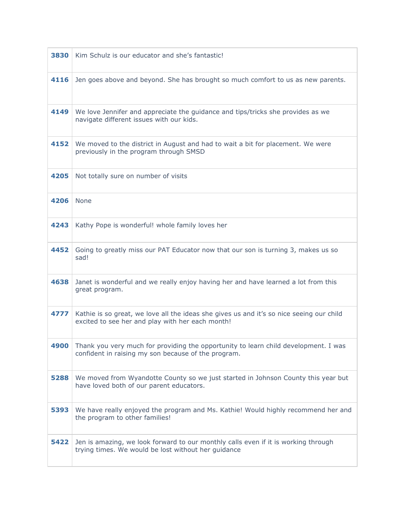| 3830 | Kim Schulz is our educator and she's fantastic!                                                                                              |
|------|----------------------------------------------------------------------------------------------------------------------------------------------|
| 4116 | Jen goes above and beyond. She has brought so much comfort to us as new parents.                                                             |
| 4149 | We love Jennifer and appreciate the guidance and tips/tricks she provides as we<br>navigate different issues with our kids.                  |
| 4152 | We moved to the district in August and had to wait a bit for placement. We were<br>previously in the program through SMSD                    |
| 4205 | Not totally sure on number of visits                                                                                                         |
| 4206 | <b>None</b>                                                                                                                                  |
| 4243 | Kathy Pope is wonderful! whole family loves her                                                                                              |
| 4452 | Going to greatly miss our PAT Educator now that our son is turning 3, makes us so<br>sad!                                                    |
| 4638 | Janet is wonderful and we really enjoy having her and have learned a lot from this<br>great program.                                         |
| 4777 | Kathie is so great, we love all the ideas she gives us and it's so nice seeing our child<br>excited to see her and play with her each month! |
| 4900 | Thank you very much for providing the opportunity to learn child development. I was<br>confident in raising my son because of the program.   |
| 5288 | We moved from Wyandotte County so we just started in Johnson County this year but<br>have loved both of our parent educators.                |
| 5393 | We have really enjoyed the program and Ms. Kathie! Would highly recommend her and<br>the program to other families!                          |
| 5422 | Jen is amazing, we look forward to our monthly calls even if it is working through<br>trying times. We would be lost without her guidance    |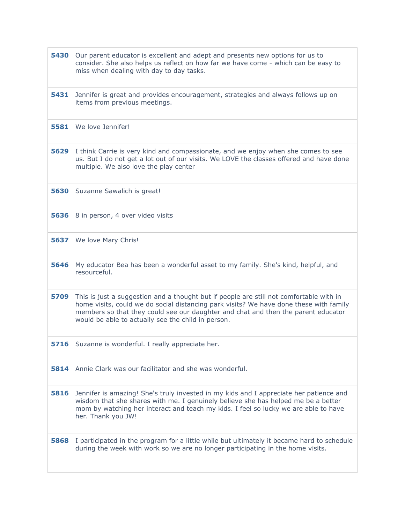| 5430 | Our parent educator is excellent and adept and presents new options for us to<br>consider. She also helps us reflect on how far we have come - which can be easy to<br>miss when dealing with day to day tasks.                                                                                                              |
|------|------------------------------------------------------------------------------------------------------------------------------------------------------------------------------------------------------------------------------------------------------------------------------------------------------------------------------|
| 5431 | Jennifer is great and provides encouragement, strategies and always follows up on<br>items from previous meetings.                                                                                                                                                                                                           |
| 5581 | We love Jennifer!                                                                                                                                                                                                                                                                                                            |
| 5629 | I think Carrie is very kind and compassionate, and we enjoy when she comes to see<br>us. But I do not get a lot out of our visits. We LOVE the classes offered and have done<br>multiple. We also love the play center                                                                                                       |
| 5630 | Suzanne Sawalich is great!                                                                                                                                                                                                                                                                                                   |
| 5636 | 8 in person, 4 over video visits                                                                                                                                                                                                                                                                                             |
| 5637 | We love Mary Chris!                                                                                                                                                                                                                                                                                                          |
| 5646 | My educator Bea has been a wonderful asset to my family. She's kind, helpful, and<br>resourceful.                                                                                                                                                                                                                            |
| 5709 | This is just a suggestion and a thought but if people are still not comfortable with in<br>home visits, could we do social distancing park visits? We have done these with family<br>members so that they could see our daughter and chat and then the parent educator<br>would be able to actually see the child in person. |
| 5716 | Suzanne is wonderful. I really appreciate her.                                                                                                                                                                                                                                                                               |
| 5814 | Annie Clark was our facilitator and she was wonderful.                                                                                                                                                                                                                                                                       |
| 5816 | Jennifer is amazing! She's truly invested in my kids and I appreciate her patience and<br>wisdom that she shares with me. I genuinely believe she has helped me be a better<br>mom by watching her interact and teach my kids. I feel so lucky we are able to have<br>her. Thank you JW!                                     |
| 5868 | I participated in the program for a little while but ultimately it became hard to schedule<br>during the week with work so we are no longer participating in the home visits.                                                                                                                                                |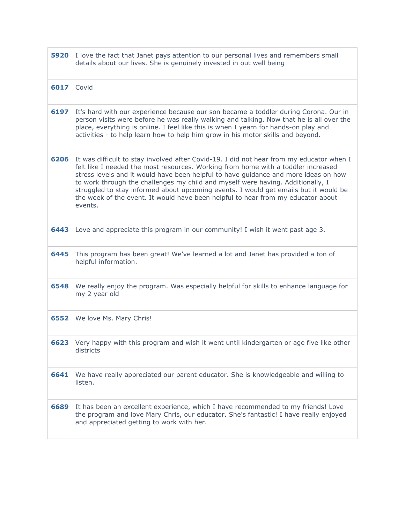| 5920 | I love the fact that Janet pays attention to our personal lives and remembers small<br>details about our lives. She is genuinely invested in out well being                                                                                                                                                                                                                                                                                                                                                                                    |
|------|------------------------------------------------------------------------------------------------------------------------------------------------------------------------------------------------------------------------------------------------------------------------------------------------------------------------------------------------------------------------------------------------------------------------------------------------------------------------------------------------------------------------------------------------|
| 6017 | Covid                                                                                                                                                                                                                                                                                                                                                                                                                                                                                                                                          |
| 6197 | It's hard with our experience because our son became a toddler during Corona. Our in<br>person visits were before he was really walking and talking. Now that he is all over the<br>place, everything is online. I feel like this is when I yearn for hands-on play and<br>activities - to help learn how to help him grow in his motor skills and beyond.                                                                                                                                                                                     |
| 6206 | It was difficult to stay involved after Covid-19. I did not hear from my educator when I<br>felt like I needed the most resources. Working from home with a toddler increased<br>stress levels and it would have been helpful to have guidance and more ideas on how<br>to work through the challenges my child and myself were having. Additionally, I<br>struggled to stay informed about upcoming events. I would get emails but it would be<br>the week of the event. It would have been helpful to hear from my educator about<br>events. |
| 6443 | Love and appreciate this program in our community! I wish it went past age 3.                                                                                                                                                                                                                                                                                                                                                                                                                                                                  |
| 6445 | This program has been great! We've learned a lot and Janet has provided a ton of<br>helpful information.                                                                                                                                                                                                                                                                                                                                                                                                                                       |
| 6548 | We really enjoy the program. Was especially helpful for skills to enhance language for<br>my 2 year old                                                                                                                                                                                                                                                                                                                                                                                                                                        |
| 6552 | We love Ms. Mary Chris!                                                                                                                                                                                                                                                                                                                                                                                                                                                                                                                        |
|      | 6623 Very happy with this program and wish it went until kindergarten or age five like other<br>districts                                                                                                                                                                                                                                                                                                                                                                                                                                      |
| 6641 | We have really appreciated our parent educator. She is knowledgeable and willing to<br>listen.                                                                                                                                                                                                                                                                                                                                                                                                                                                 |
| 6689 | It has been an excellent experience, which I have recommended to my friends! Love<br>the program and love Mary Chris, our educator. She's fantastic! I have really enjoyed<br>and appreciated getting to work with her.                                                                                                                                                                                                                                                                                                                        |